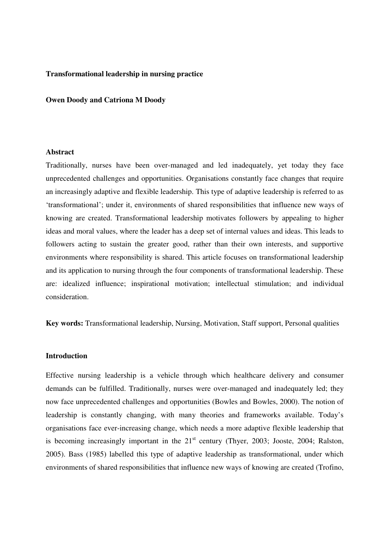## **Transformational leadership in nursing practice**

**Owen Doody and Catriona M Doody**

#### **Abstract**

Traditionally, nurses have been over-managed and led inadequately, yet today they face unprecedented challenges and opportunities. Organisations constantly face changes that require an increasingly adaptive and flexible leadership. This type of adaptive leadership is referred to as 'transformational'; under it, environments of shared responsibilities that influence new ways of knowing are created. Transformational leadership motivates followers by appealing to higher ideas and moral values, where the leader has a deep set of internal values and ideas. This leads to followers acting to sustain the greater good, rather than their own interests, and supportive environments where responsibility is shared. This article focuses on transformational leadership and its application to nursing through the four components of transformational leadership. These are: idealized influence; inspirational motivation; intellectual stimulation; and individual consideration.

**Key words:** Transformational leadership, Nursing, Motivation, Staff support, Personal qualities

## **Introduction**

Effective nursing leadership is a vehicle through which healthcare delivery and consumer demands can be fulfilled. Traditionally, nurses were over-managed and inadequately led; they now face unprecedented challenges and opportunities (Bowles and Bowles, 2000). The notion of leadership is constantly changing, with many theories and frameworks available. Today's organisations face ever-increasing change, which needs a more adaptive flexible leadership that is becoming increasingly important in the  $21<sup>st</sup>$  century (Thyer, 2003; Jooste, 2004; Ralston, 2005). Bass (1985) labelled this type of adaptive leadership as transformational, under which environments of shared responsibilities that influence new ways of knowing are created (Trofino,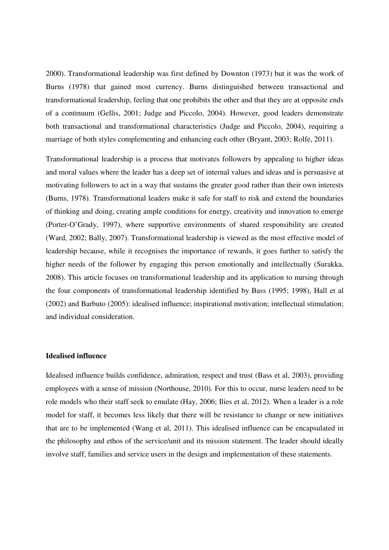2000). Transformational leadership was first defined by Downton (1973) but it was the work of Burns (1978) that gained most currency. Burns distinguished between transactional and transformational leadership, feeling that one prohibits the other and that they are at opposite ends of a continuum (Gellis, 2001; Judge and Piccolo, 2004). However, good leaders demonstrate both transactional and transformational characteristics (Judge and Piccolo, 2004), requiring a marriage of both styles complementing and enhancing each other (Bryant, 2003; Rolfe, 2011).

Transformational leadership is a process that motivates followers by appealing to higher ideas and moral values where the leader has a deep set of internal values and ideas and is persuasive at motivating followers to act in a way that sustains the greater good rather than their own interests (Burns, 1978). Transformational leaders make it safe for staff to risk and extend the boundaries of thinking and doing, creating ample conditions for energy, creativity and innovation to emerge (Porter-O'Grady, 1997), where supportive environments of shared responsibility are created (Ward, 2002; Bally, 2007). Transformational leadership is viewed as the most effective model of leadership because, while it recognises the importance of rewards, it goes further to satisfy the higher needs of the follower by engaging this person emotionally and intellectually (Surakka, 2008). This article focuses on transformational leadership and its application to nursing through the four components of transformational leadership identified by Bass (1995; 1998), Hall et al (2002) and Barbuto (2005): idealised influence; inspirational motivation; intellectual stimulation; and individual consideration.

## **Idealised influence**

Idealised influence builds confidence, admiration, respect and trust (Bass et al, 2003), providing employees with a sense of mission (Northouse, 2010). For this to occur, nurse leaders need to be role models who their staff seek to emulate (Hay, 2006; Ilies et al, 2012). When a leader is a role model for staff, it becomes less likely that there will be resistance to change or new initiatives that are to be implemented (Wang et al, 2011). This idealised influence can be encapsulated in the philosophy and ethos of the service/unit and its mission statement. The leader should ideally involve staff, families and service users in the design and implementation of these statements.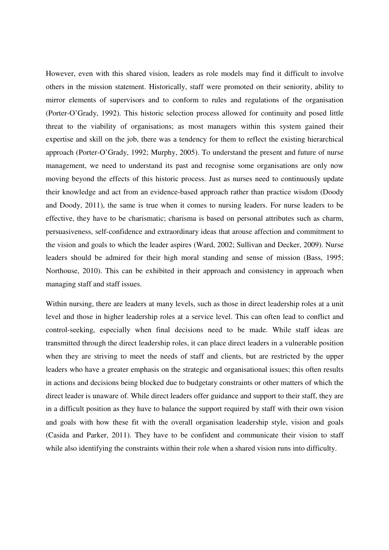However, even with this shared vision, leaders as role models may find it difficult to involve others in the mission statement. Historically, staff were promoted on their seniority, ability to mirror elements of supervisors and to conform to rules and regulations of the organisation (Porter-O'Grady, 1992). This historic selection process allowed for continuity and posed little threat to the viability of organisations; as most managers within this system gained their expertise and skill on the job, there was a tendency for them to reflect the existing hierarchical approach (Porter-O'Grady, 1992; Murphy, 2005). To understand the present and future of nurse management, we need to understand its past and recognise some organisations are only now moving beyond the effects of this historic process. Just as nurses need to continuously update their knowledge and act from an evidence-based approach rather than practice wisdom (Doody and Doody, 2011), the same is true when it comes to nursing leaders. For nurse leaders to be effective, they have to be charismatic; charisma is based on personal attributes such as charm, persuasiveness, self-confidence and extraordinary ideas that arouse affection and commitment to the vision and goals to which the leader aspires (Ward, 2002; Sullivan and Decker, 2009). Nurse leaders should be admired for their high moral standing and sense of mission (Bass, 1995; Northouse, 2010). This can be exhibited in their approach and consistency in approach when managing staff and staff issues.

Within nursing, there are leaders at many levels, such as those in direct leadership roles at a unit level and those in higher leadership roles at a service level. This can often lead to conflict and control-seeking, especially when final decisions need to be made. While staff ideas are transmitted through the direct leadership roles, it can place direct leaders in a vulnerable position when they are striving to meet the needs of staff and clients, but are restricted by the upper leaders who have a greater emphasis on the strategic and organisational issues; this often results in actions and decisions being blocked due to budgetary constraints or other matters of which the direct leader is unaware of. While direct leaders offer guidance and support to their staff, they are in a difficult position as they have to balance the support required by staff with their own vision and goals with how these fit with the overall organisation leadership style, vision and goals (Casida and Parker, 2011). They have to be confident and communicate their vision to staff while also identifying the constraints within their role when a shared vision runs into difficulty.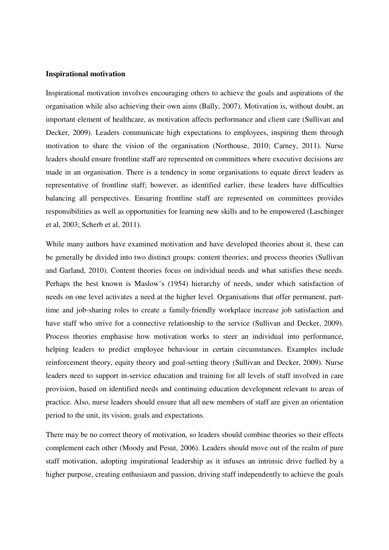### **Inspirational motivation**

Inspirational motivation involves encouraging others to achieve the goals and aspirations of the organisation while also achieving their own aims (Bally, 2007). Motivation is, without doubt, an important element of healthcare, as motivation affects performance and client care (Sullivan and Decker, 2009). Leaders communicate high expectations to employees, inspiring them through motivation to share the vision of the organisation (Northouse, 2010; Carney, 2011). Nurse leaders should ensure frontline staff are represented on committees where executive decisions are made in an organisation. There is a tendency in some organisations to equate direct leaders as representative of frontline staff; however, as identified earlier, these leaders have difficulties balancing all perspectives. Ensuring frontline staff are represented on committees provides responsibilities as well as opportunities for learning new skills and to be empowered (Laschinger et al, 2003; Scherb et al, 2011).

While many authors have examined motivation and have developed theories about it, these can be generally be divided into two distinct groups: content theories; and process theories (Sullivan and Garland, 2010). Content theories focus on individual needs and what satisfies these needs. Perhaps the best known is Maslow's (1954) hierarchy of needs, under which satisfaction of needs on one level activates a need at the higher level. Organisations that offer permanent, parttime and job-sharing roles to create a family-friendly workplace increase job satisfaction and have staff who strive for a connective relationship to the service (Sullivan and Decker, 2009). Process theories emphasise how motivation works to steer an individual into performance, helping leaders to predict employee behaviour in certain circumstances. Examples include reinforcement theory, equity theory and goal-setting theory (Sullivan and Decker, 2009). Nurse leaders need to support in-service education and training for all levels of staff involved in care provision, based on identified needs and continuing education development relevant to areas of practice. Also, nurse leaders should ensure that all new members of staff are given an orientation period to the unit, its vision, goals and expectations.

There may be no correct theory of motivation, so leaders should combine theories so their effects complement each other (Moody and Pesut, 2006). Leaders should move out of the realm of pure staff motivation, adopting inspirational leadership as it infuses an intrinsic drive fuelled by a higher purpose, creating enthusiasm and passion, driving staff independently to achieve the goals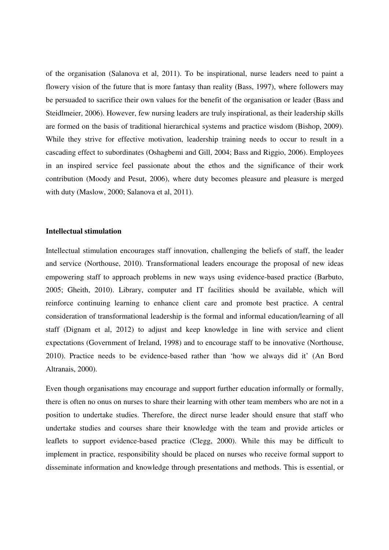of the organisation (Salanova et al, 2011). To be inspirational, nurse leaders need to paint a flowery vision of the future that is more fantasy than reality (Bass, 1997), where followers may be persuaded to sacrifice their own values for the benefit of the organisation or leader (Bass and Steidlmeier, 2006). However, few nursing leaders are truly inspirational, as their leadership skills are formed on the basis of traditional hierarchical systems and practice wisdom (Bishop, 2009). While they strive for effective motivation, leadership training needs to occur to result in a cascading effect to subordinates (Oshagbemi and Gill, 2004; Bass and Riggio, 2006). Employees in an inspired service feel passionate about the ethos and the significance of their work contribution (Moody and Pesut, 2006), where duty becomes pleasure and pleasure is merged with duty (Maslow, 2000; Salanova et al, 2011).

#### **Intellectual stimulation**

Intellectual stimulation encourages staff innovation, challenging the beliefs of staff, the leader and service (Northouse, 2010). Transformational leaders encourage the proposal of new ideas empowering staff to approach problems in new ways using evidence-based practice (Barbuto, 2005; Gheith, 2010). Library, computer and IT facilities should be available, which will reinforce continuing learning to enhance client care and promote best practice. A central consideration of transformational leadership is the formal and informal education/learning of all staff (Dignam et al, 2012) to adjust and keep knowledge in line with service and client expectations (Government of Ireland, 1998) and to encourage staff to be innovative (Northouse, 2010). Practice needs to be evidence-based rather than 'how we always did it' (An Bord Altranais, 2000).

Even though organisations may encourage and support further education informally or formally, there is often no onus on nurses to share their learning with other team members who are not in a position to undertake studies. Therefore, the direct nurse leader should ensure that staff who undertake studies and courses share their knowledge with the team and provide articles or leaflets to support evidence-based practice (Clegg, 2000). While this may be difficult to implement in practice, responsibility should be placed on nurses who receive formal support to disseminate information and knowledge through presentations and methods. This is essential, or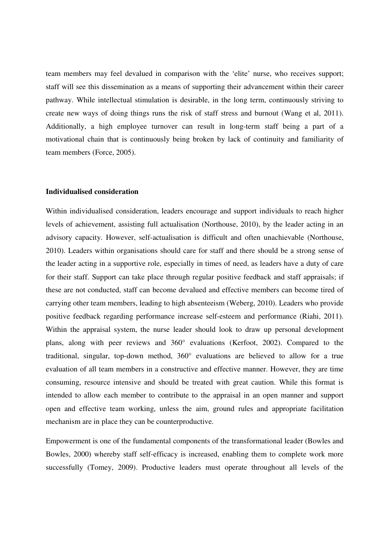team members may feel devalued in comparison with the 'elite' nurse, who receives support; staff will see this dissemination as a means of supporting their advancement within their career pathway. While intellectual stimulation is desirable, in the long term, continuously striving to create new ways of doing things runs the risk of staff stress and burnout (Wang et al, 2011). Additionally, a high employee turnover can result in long-term staff being a part of a motivational chain that is continuously being broken by lack of continuity and familiarity of team members (Force, 2005).

### **Individualised consideration**

Within individualised consideration, leaders encourage and support individuals to reach higher levels of achievement, assisting full actualisation (Northouse, 2010), by the leader acting in an advisory capacity. However, self-actualisation is difficult and often unachievable (Northouse, 2010). Leaders within organisations should care for staff and there should be a strong sense of the leader acting in a supportive role, especially in times of need, as leaders have a duty of care for their staff. Support can take place through regular positive feedback and staff appraisals; if these are not conducted, staff can become devalued and effective members can become tired of carrying other team members, leading to high absenteeism (Weberg, 2010). Leaders who provide positive feedback regarding performance increase self-esteem and performance (Riahi, 2011). Within the appraisal system, the nurse leader should look to draw up personal development plans, along with peer reviews and 360° evaluations (Kerfoot, 2002). Compared to the traditional, singular, top-down method, 360° evaluations are believed to allow for a true evaluation of all team members in a constructive and effective manner. However, they are time consuming, resource intensive and should be treated with great caution. While this format is intended to allow each member to contribute to the appraisal in an open manner and support open and effective team working, unless the aim, ground rules and appropriate facilitation mechanism are in place they can be counterproductive.

Empowerment is one of the fundamental components of the transformational leader (Bowles and Bowles, 2000) whereby staff self-efficacy is increased, enabling them to complete work more successfully (Tomey, 2009). Productive leaders must operate throughout all levels of the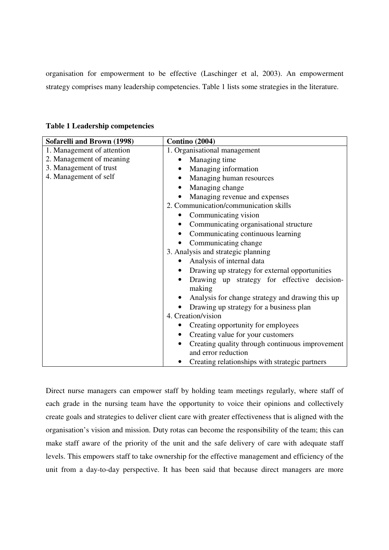organisation for empowerment to be effective (Laschinger et al, 2003). An empowerment strategy comprises many leadership competencies. Table 1 lists some strategies in the literature.

| Sofarelli and Brown (1998) | <b>Contino (2004)</b>                                                                                                                                                |  |  |
|----------------------------|----------------------------------------------------------------------------------------------------------------------------------------------------------------------|--|--|
| 1. Management of attention | 1. Organisational management                                                                                                                                         |  |  |
| 2. Management of meaning   | Managing time                                                                                                                                                        |  |  |
| 3. Management of trust     | Managing information                                                                                                                                                 |  |  |
| 4. Management of self      | Managing human resources                                                                                                                                             |  |  |
|                            | Managing change                                                                                                                                                      |  |  |
|                            | Managing revenue and expenses                                                                                                                                        |  |  |
|                            | 2. Communication/communication skills<br>Communicating vision<br>Communicating organisational structure<br>Communicating continuous learning<br>Communicating change |  |  |
|                            |                                                                                                                                                                      |  |  |
|                            |                                                                                                                                                                      |  |  |
|                            |                                                                                                                                                                      |  |  |
|                            |                                                                                                                                                                      |  |  |
|                            | 3. Analysis and strategic planning                                                                                                                                   |  |  |
|                            | Analysis of internal data<br>Drawing up strategy for external opportunities                                                                                          |  |  |
|                            |                                                                                                                                                                      |  |  |
|                            | Drawing up strategy for effective decision-                                                                                                                          |  |  |
|                            | making<br>Analysis for change strategy and drawing this up<br>Drawing up strategy for a business plan                                                                |  |  |
|                            |                                                                                                                                                                      |  |  |
|                            |                                                                                                                                                                      |  |  |
|                            | 4. Creation/vision                                                                                                                                                   |  |  |
|                            | Creating opportunity for employees<br>Creating value for your customers                                                                                              |  |  |
|                            |                                                                                                                                                                      |  |  |
|                            | Creating quality through continuous improvement                                                                                                                      |  |  |
|                            | and error reduction                                                                                                                                                  |  |  |
|                            | Creating relationships with strategic partners                                                                                                                       |  |  |

**Table 1 Leadership competencies** 

Direct nurse managers can empower staff by holding team meetings regularly, where staff of each grade in the nursing team have the opportunity to voice their opinions and collectively create goals and strategies to deliver client care with greater effectiveness that is aligned with the organisation's vision and mission. Duty rotas can become the responsibility of the team; this can make staff aware of the priority of the unit and the safe delivery of care with adequate staff levels. This empowers staff to take ownership for the effective management and efficiency of the unit from a day-to-day perspective. It has been said that because direct managers are more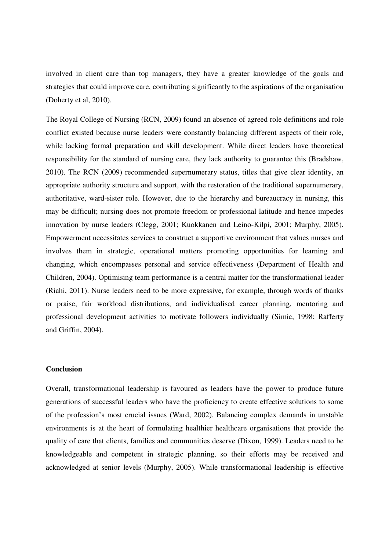involved in client care than top managers, they have a greater knowledge of the goals and strategies that could improve care, contributing significantly to the aspirations of the organisation (Doherty et al, 2010).

The Royal College of Nursing (RCN, 2009) found an absence of agreed role definitions and role conflict existed because nurse leaders were constantly balancing different aspects of their role, while lacking formal preparation and skill development. While direct leaders have theoretical responsibility for the standard of nursing care, they lack authority to guarantee this (Bradshaw, 2010). The RCN (2009) recommended supernumerary status, titles that give clear identity, an appropriate authority structure and support, with the restoration of the traditional supernumerary, authoritative, ward-sister role. However, due to the hierarchy and bureaucracy in nursing, this may be difficult; nursing does not promote freedom or professional latitude and hence impedes innovation by nurse leaders (Clegg, 2001; Kuokkanen and Leino-Kilpi, 2001; Murphy, 2005). Empowerment necessitates services to construct a supportive environment that values nurses and involves them in strategic, operational matters promoting opportunities for learning and changing, which encompasses personal and service effectiveness (Department of Health and Children, 2004). Optimising team performance is a central matter for the transformational leader (Riahi, 2011). Nurse leaders need to be more expressive, for example, through words of thanks or praise, fair workload distributions, and individualised career planning, mentoring and professional development activities to motivate followers individually (Simic, 1998; Rafferty and Griffin, 2004).

# **Conclusion**

Overall, transformational leadership is favoured as leaders have the power to produce future generations of successful leaders who have the proficiency to create effective solutions to some of the profession's most crucial issues (Ward, 2002). Balancing complex demands in unstable environments is at the heart of formulating healthier healthcare organisations that provide the quality of care that clients, families and communities deserve (Dixon, 1999). Leaders need to be knowledgeable and competent in strategic planning, so their efforts may be received and acknowledged at senior levels (Murphy, 2005). While transformational leadership is effective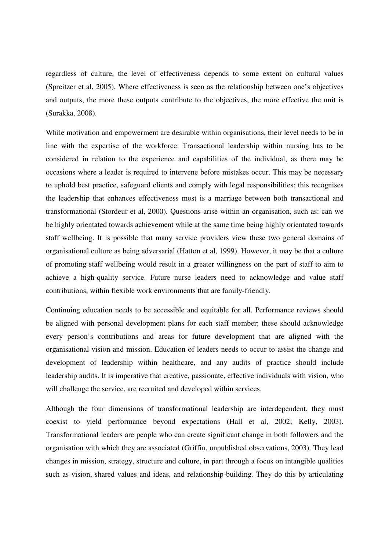regardless of culture, the level of effectiveness depends to some extent on cultural values (Spreitzer et al, 2005). Where effectiveness is seen as the relationship between one's objectives and outputs, the more these outputs contribute to the objectives, the more effective the unit is (Surakka, 2008).

While motivation and empowerment are desirable within organisations, their level needs to be in line with the expertise of the workforce. Transactional leadership within nursing has to be considered in relation to the experience and capabilities of the individual, as there may be occasions where a leader is required to intervene before mistakes occur. This may be necessary to uphold best practice, safeguard clients and comply with legal responsibilities; this recognises the leadership that enhances effectiveness most is a marriage between both transactional and transformational (Stordeur et al, 2000). Questions arise within an organisation, such as: can we be highly orientated towards achievement while at the same time being highly orientated towards staff wellbeing. It is possible that many service providers view these two general domains of organisational culture as being adversarial (Hatton et al, 1999). However, it may be that a culture of promoting staff wellbeing would result in a greater willingness on the part of staff to aim to achieve a high-quality service. Future nurse leaders need to acknowledge and value staff contributions, within flexible work environments that are family-friendly.

Continuing education needs to be accessible and equitable for all. Performance reviews should be aligned with personal development plans for each staff member; these should acknowledge every person's contributions and areas for future development that are aligned with the organisational vision and mission. Education of leaders needs to occur to assist the change and development of leadership within healthcare, and any audits of practice should include leadership audits. It is imperative that creative, passionate, effective individuals with vision, who will challenge the service, are recruited and developed within services.

Although the four dimensions of transformational leadership are interdependent, they must coexist to yield performance beyond expectations (Hall et al, 2002; Kelly, 2003). Transformational leaders are people who can create significant change in both followers and the organisation with which they are associated (Griffin, unpublished observations, 2003). They lead changes in mission, strategy, structure and culture, in part through a focus on intangible qualities such as vision, shared values and ideas, and relationship-building. They do this by articulating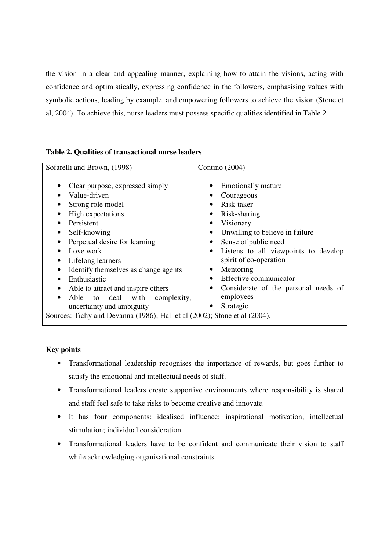the vision in a clear and appealing manner, explaining how to attain the visions, acting with confidence and optimistically, expressing confidence in the followers, emphasising values with symbolic actions, leading by example, and empowering followers to achieve the vision (Stone et al, 2004). To achieve this, nurse leaders must possess specific qualities identified in Table 2.

| Sofarelli and Brown, (1998)                                                                                                                                                                                                                                                                                                                                       | Contino (2004)                                                                                                                                                                                                                                                                                                                                                  |
|-------------------------------------------------------------------------------------------------------------------------------------------------------------------------------------------------------------------------------------------------------------------------------------------------------------------------------------------------------------------|-----------------------------------------------------------------------------------------------------------------------------------------------------------------------------------------------------------------------------------------------------------------------------------------------------------------------------------------------------------------|
| Clear purpose, expressed simply<br>Value-driven<br>Strong role model<br>High expectations<br>Persistent<br>Self-knowing<br>Perpetual desire for learning<br>Love work<br>Lifelong learners<br>Identify themselves as change agents<br>Enthusiastic<br>Able to attract and inspire others<br>٠<br>Able to deal<br>with<br>complexity,<br>uncertainty and ambiguity | <b>Emotionally mature</b><br>Courageous<br>Risk-taker<br>Risk-sharing<br>$\bullet$<br>Visionary<br>Unwilling to believe in failure<br>Sense of public need<br>Listens to all viewpoints to develop<br>spirit of co-operation<br>Mentoring<br>$\bullet$<br>Effective communicator<br>$\bullet$<br>Considerate of the personal needs of<br>employees<br>Strategic |
| Sources: Tichy and Devanna (1986); Hall et al (2002); Stone et al (2004).                                                                                                                                                                                                                                                                                         |                                                                                                                                                                                                                                                                                                                                                                 |

|  | Table 2. Qualities of transactional nurse leaders |  |
|--|---------------------------------------------------|--|
|  |                                                   |  |

## **Key points**

- Transformational leadership recognises the importance of rewards, but goes further to satisfy the emotional and intellectual needs of staff.
- Transformational leaders create supportive environments where responsibility is shared and staff feel safe to take risks to become creative and innovate.
- It has four components: idealised influence; inspirational motivation; intellectual stimulation; individual consideration.
- Transformational leaders have to be confident and communicate their vision to staff while acknowledging organisational constraints.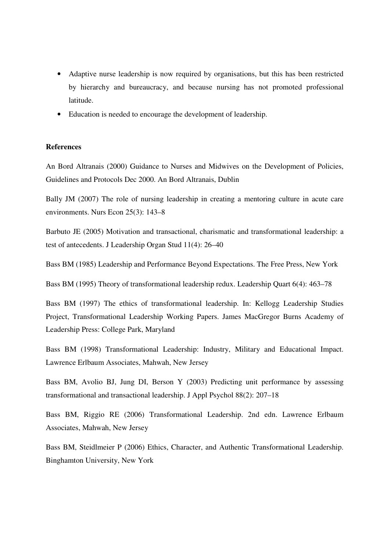- Adaptive nurse leadership is now required by organisations, but this has been restricted by hierarchy and bureaucracy, and because nursing has not promoted professional latitude.
- Education is needed to encourage the development of leadership.

## **References**

An Bord Altranais (2000) Guidance to Nurses and Midwives on the Development of Policies, Guidelines and Protocols Dec 2000. An Bord Altranais, Dublin

Bally JM (2007) The role of nursing leadership in creating a mentoring culture in acute care environments. Nurs Econ 25(3): 143–8

Barbuto JE (2005) Motivation and transactional, charismatic and transformational leadership: a test of antecedents. J Leadership Organ Stud 11(4): 26–40

Bass BM (1985) Leadership and Performance Beyond Expectations. The Free Press, New York

Bass BM (1995) Theory of transformational leadership redux. Leadership Quart 6(4): 463–78

Bass BM (1997) The ethics of transformational leadership. In: Kellogg Leadership Studies Project, Transformational Leadership Working Papers. James MacGregor Burns Academy of Leadership Press: College Park, Maryland

Bass BM (1998) Transformational Leadership: Industry, Military and Educational Impact. Lawrence Erlbaum Associates, Mahwah, New Jersey

Bass BM, Avolio BJ, Jung DI, Berson Y (2003) Predicting unit performance by assessing transformational and transactional leadership. J Appl Psychol 88(2): 207–18

Bass BM, Riggio RE (2006) Transformational Leadership. 2nd edn. Lawrence Erlbaum Associates, Mahwah, New Jersey

Bass BM, Steidlmeier P (2006) Ethics, Character, and Authentic Transformational Leadership. Binghamton University, New York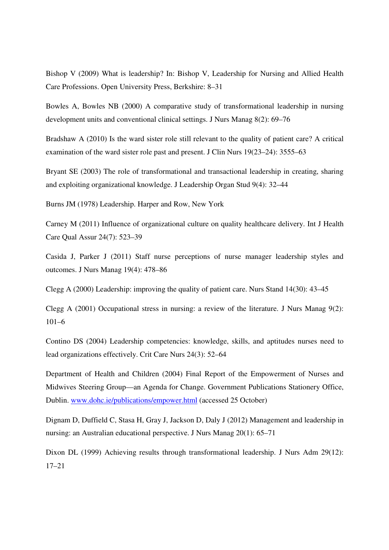Bishop V (2009) What is leadership? In: Bishop V, Leadership for Nursing and Allied Health Care Professions. Open University Press, Berkshire: 8–31

Bowles A, Bowles NB (2000) A comparative study of transformational leadership in nursing development units and conventional clinical settings. J Nurs Manag 8(2): 69–76

Bradshaw A (2010) Is the ward sister role still relevant to the quality of patient care? A critical examination of the ward sister role past and present. J Clin Nurs 19(23–24): 3555–63

Bryant SE (2003) The role of transformational and transactional leadership in creating, sharing and exploiting organizational knowledge. J Leadership Organ Stud 9(4): 32–44

Burns JM (1978) Leadership. Harper and Row, New York

Carney M (2011) Influence of organizational culture on quality healthcare delivery. Int J Health Care Qual Assur 24(7): 523–39

Casida J, Parker J (2011) Staff nurse perceptions of nurse manager leadership styles and outcomes. J Nurs Manag 19(4): 478–86

Clegg A (2000) Leadership: improving the quality of patient care. Nurs Stand 14(30): 43–45

Clegg A (2001) Occupational stress in nursing: a review of the literature. J Nurs Manag 9(2): 101–6

Contino DS (2004) Leadership competencies: knowledge, skills, and aptitudes nurses need to lead organizations effectively. Crit Care Nurs 24(3): 52–64

Department of Health and Children (2004) Final Report of the Empowerment of Nurses and Midwives Steering Group—an Agenda for Change. Government Publications Stationery Office, Dublin. www.dohc.ie/publications/empower.html (accessed 25 October)

Dignam D, Duffield C, Stasa H, Gray J, Jackson D, Daly J (2012) Management and leadership in nursing: an Australian educational perspective. J Nurs Manag 20(1): 65–71

Dixon DL (1999) Achieving results through transformational leadership. J Nurs Adm 29(12): 17–21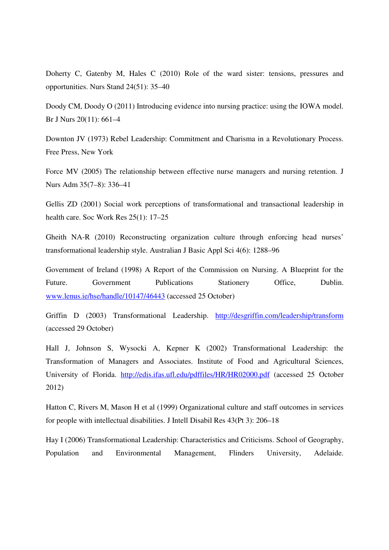Doherty C, Gatenby M, Hales C (2010) Role of the ward sister: tensions, pressures and opportunities. Nurs Stand 24(51): 35–40

Doody CM, Doody O (2011) Introducing evidence into nursing practice: using the IOWA model. Br J Nurs 20(11): 661–4

Downton JV (1973) Rebel Leadership: Commitment and Charisma in a Revolutionary Process. Free Press, New York

Force MV (2005) The relationship between effective nurse managers and nursing retention. J Nurs Adm 35(7–8): 336–41

Gellis ZD (2001) Social work perceptions of transformational and transactional leadership in health care. Soc Work Res 25(1): 17–25

Gheith NA-R (2010) Reconstructing organization culture through enforcing head nurses' transformational leadership style. Australian J Basic Appl Sci 4(6): 1288–96

Government of Ireland (1998) A Report of the Commission on Nursing. A Blueprint for the Future. Government Publications Stationery Office, Dublin. www.lenus.ie/hse/handle/10147/46443 (accessed 25 October)

Griffin D (2003) Transformational Leadership. http://desgriffin.com/leadership/transform (accessed 29 October)

Hall J, Johnson S, Wysocki A, Kepner K (2002) Transformational Leadership: the Transformation of Managers and Associates. Institute of Food and Agricultural Sciences, University of Florida. http://edis.ifas.ufl.edu/pdffiles/HR/HR02000.pdf (accessed 25 October 2012)

Hatton C, Rivers M, Mason H et al (1999) Organizational culture and staff outcomes in services for people with intellectual disabilities. J Intell Disabil Res 43(Pt 3): 206–18

Hay I (2006) Transformational Leadership: Characteristics and Criticisms. School of Geography, Population and Environmental Management, Flinders University, Adelaide.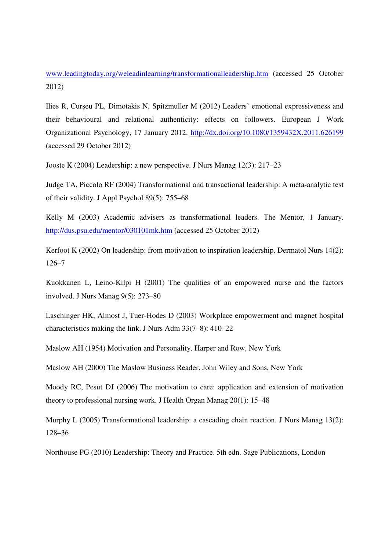www.leadingtoday.org/weleadinlearning/transformationalleadership.htm (accessed 25 October 2012)

Ilies R, Curşeu PL, Dimotakis N, Spitzmuller M (2012) Leaders' emotional expressiveness and their behavioural and relational authenticity: effects on followers. European J Work Organizational Psychology, 17 January 2012. http://dx.doi.org/10.1080/1359432X.2011.626199 (accessed 29 October 2012)

Jooste K (2004) Leadership: a new perspective. J Nurs Manag 12(3): 217–23

Judge TA, Piccolo RF (2004) Transformational and transactional leadership: A meta-analytic test of their validity. J Appl Psychol 89(5): 755–68

Kelly M (2003) Academic advisers as transformational leaders. The Mentor, 1 January. http://dus.psu.edu/mentor/030101mk.htm (accessed 25 October 2012)

Kerfoot K (2002) On leadership: from motivation to inspiration leadership. Dermatol Nurs 14(2): 126–7

Kuokkanen L, Leino-Kilpi H (2001) The qualities of an empowered nurse and the factors involved. J Nurs Manag 9(5): 273–80

Laschinger HK, Almost J, Tuer-Hodes D (2003) Workplace empowerment and magnet hospital characteristics making the link. J Nurs Adm 33(7–8): 410–22

Maslow AH (1954) Motivation and Personality. Harper and Row, New York

Maslow AH (2000) The Maslow Business Reader. John Wiley and Sons, New York

Moody RC, Pesut DJ (2006) The motivation to care: application and extension of motivation theory to professional nursing work. J Health Organ Manag 20(1): 15–48

Murphy L (2005) Transformational leadership: a cascading chain reaction. J Nurs Manag 13(2): 128–36

Northouse PG (2010) Leadership: Theory and Practice. 5th edn. Sage Publications, London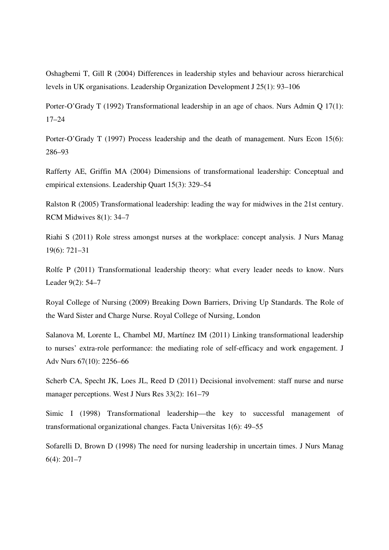Oshagbemi T, Gill R (2004) Differences in leadership styles and behaviour across hierarchical levels in UK organisations. Leadership Organization Development J 25(1): 93–106

Porter-O'Grady T (1992) Transformational leadership in an age of chaos. Nurs Admin Q 17(1): 17–24

Porter-O'Grady T (1997) Process leadership and the death of management. Nurs Econ 15(6): 286–93

Rafferty AE, Griffin MA (2004) Dimensions of transformational leadership: Conceptual and empirical extensions. Leadership Quart 15(3): 329–54

Ralston R (2005) Transformational leadership: leading the way for midwives in the 21st century. RCM Midwives 8(1): 34–7

Riahi S (2011) Role stress amongst nurses at the workplace: concept analysis. J Nurs Manag 19(6): 721–31

Rolfe P (2011) Transformational leadership theory: what every leader needs to know. Nurs Leader 9(2): 54–7

Royal College of Nursing (2009) Breaking Down Barriers, Driving Up Standards. The Role of the Ward Sister and Charge Nurse. Royal College of Nursing, London

Salanova M, Lorente L, Chambel MJ, Martínez IM (2011) Linking transformational leadership to nurses' extra-role performance: the mediating role of self-efficacy and work engagement. J Adv Nurs 67(10): 2256–66

Scherb CA, Specht JK, Loes JL, Reed D (2011) Decisional involvement: staff nurse and nurse manager perceptions. West J Nurs Res 33(2): 161–79

Simic I (1998) Transformational leadership—the key to successful management of transformational organizational changes. Facta Universitas 1(6): 49–55

Sofarelli D, Brown D (1998) The need for nursing leadership in uncertain times. J Nurs Manag 6(4): 201–7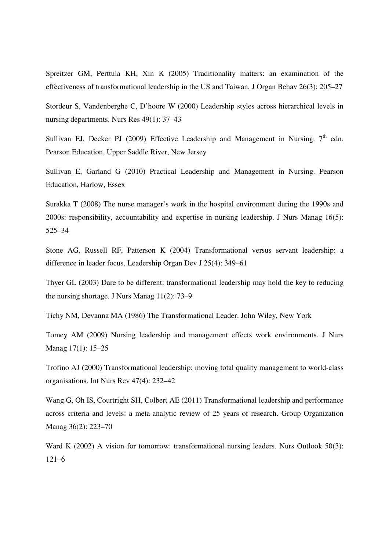Spreitzer GM, Perttula KH, Xin K (2005) Traditionality matters: an examination of the effectiveness of transformational leadership in the US and Taiwan. J Organ Behav 26(3): 205–27

Stordeur S, Vandenberghe C, D'hoore W (2000) Leadership styles across hierarchical levels in nursing departments. Nurs Res 49(1): 37–43

Sullivan EJ, Decker PJ (2009) Effective Leadership and Management in Nursing.  $7<sup>th</sup>$  edn. Pearson Education, Upper Saddle River, New Jersey

Sullivan E, Garland G (2010) Practical Leadership and Management in Nursing. Pearson Education, Harlow, Essex

Surakka T (2008) The nurse manager's work in the hospital environment during the 1990s and 2000s: responsibility, accountability and expertise in nursing leadership. J Nurs Manag 16(5): 525–34

Stone AG, Russell RF, Patterson K (2004) Transformational versus servant leadership: a difference in leader focus. Leadership Organ Dev J 25(4): 349–61

Thyer GL (2003) Dare to be different: transformational leadership may hold the key to reducing the nursing shortage. J Nurs Manag 11(2): 73–9

Tichy NM, Devanna MA (1986) The Transformational Leader. John Wiley, New York

Tomey AM (2009) Nursing leadership and management effects work environments. J Nurs Manag 17(1): 15–25

Trofino AJ (2000) Transformational leadership: moving total quality management to world-class organisations. Int Nurs Rev 47(4): 232–42

Wang G, Oh IS, Courtright SH, Colbert AE (2011) Transformational leadership and performance across criteria and levels: a meta-analytic review of 25 years of research. Group Organization Manag 36(2): 223–70

Ward K (2002) A vision for tomorrow: transformational nursing leaders. Nurs Outlook 50(3): 121–6